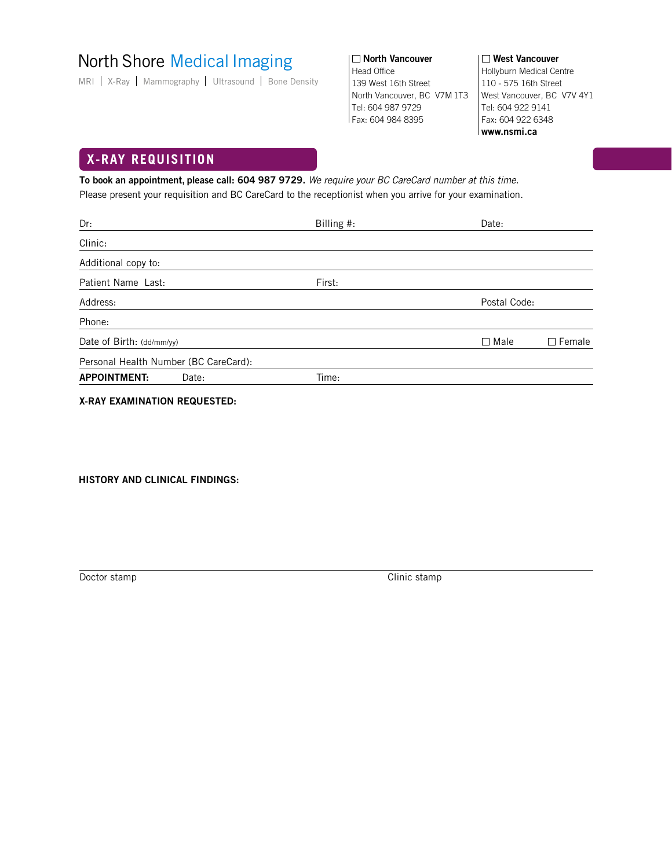# North Shore Medical Imaging

MRI | X-Ray | Mammography | Ultrasound | Bone Density

□ North Vancouver | Nest Vancouver Head Office 139 West 16th Street North Vancouver, BC V7M 1T3 Tel: 604 987 9729 Fax: 604 984 8395

Hollyburn Medical Centre 110 - 575 16th Street West Vancouver, BC V7V 4Y1 Tel: 604 922 9141 Fax: 604 922 6348 **www.nsmi.ca**

## **X-RAY REQUISITION**

**To book an appointment, please call: 604 987 9729.** We require your BC CareCard number at this time. Please present your requisition and BC CareCard to the receptionist when you arrive for your examination.

| Dr:                                   | Billing #: | Date:                        |
|---------------------------------------|------------|------------------------------|
| Clinic:                               |            |                              |
| Additional copy to:                   |            |                              |
| Patient Name Last:                    | First:     |                              |
| Address:                              |            | Postal Code:                 |
| Phone:                                |            |                              |
| Date of Birth: (dd/mm/yy)             |            | $\Box$ Female<br>$\Box$ Male |
| Personal Health Number (BC CareCard): |            |                              |
| <b>APPOINTMENT:</b><br>Date:          | Time:      |                              |
|                                       |            |                              |

**X-RAY EXAMINATION REQUESTED:**

**HISTORY AND CLINICAL FINDINGS:**

Doctor stamp Clinic stamp